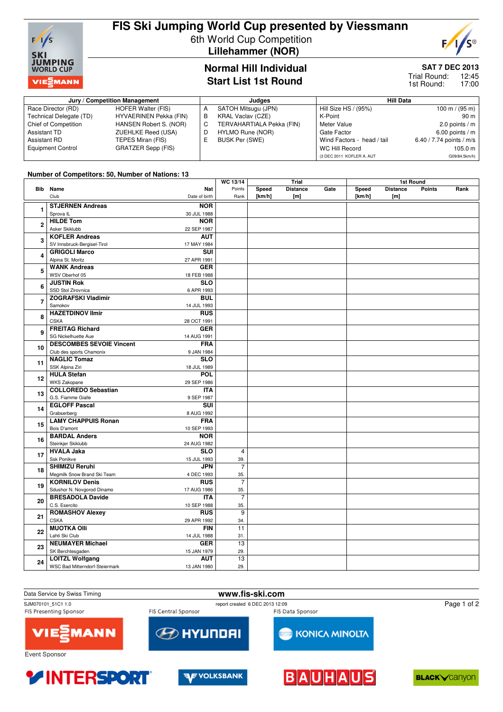

# **FIS Ski Jumping World Cup presented by Viessmann** 6th World Cup Competition

**Lillehammer (NOR)**

# **S®**  $F/I$

## **Normal Hill Individual Start List 1st Round**

## **SAT 7 DEC 2013**

12:45 17:00 Trial Round: 1st Round:

| Jury / Competition Management |                               |    | Judges                    | <b>Hill Data</b>           |                          |  |  |
|-------------------------------|-------------------------------|----|---------------------------|----------------------------|--------------------------|--|--|
| Race Director (RD)            | HOFER Walter (FIS)            |    | SATOH Mitsugu (JPN)       | Hill Size HS / (95%)       | 100 m / $(95 m)$         |  |  |
| Technical Delegate (TD)       | <b>HYVAERINEN Pekka (FIN)</b> | В  | <b>KRAL Vaclav (CZE)</b>  | K-Point                    | 90 m                     |  |  |
| Chief of Competition          | HANSEN Robert S. (NOR)        | C. | TERVAHARTIALA Pekka (FIN) | Meter Value                | 2.0 points $/m$          |  |  |
| Assistant TD                  | ZUEHLKE Reed (USA)            |    | HYLMO Rune (NOR)          | Gate Factor                | $6.00$ points / m        |  |  |
| Assistant RD                  | TEPES Miran (FIS)             |    | BUSK Per (SWE)            | Wind Factors - head / tail | 6.40 / 7.74 points / m/s |  |  |
| <b>Equipment Control</b>      | GRATZER Sepp (FIS)            |    |                           | WC Hill Record             | 105.0 m                  |  |  |
|                               |                               |    |                           | (3 DEC 2011 KOFLER A. AUT  | G09/84.5km/h)            |  |  |

#### **Number of Competitors: 50, Number of Nations: 13**

|                |                                 |               | WC 13/14        | Trial  |                 |      | 1st Round  |                 |               |      |
|----------------|---------------------------------|---------------|-----------------|--------|-----------------|------|------------|-----------------|---------------|------|
|                | <b>Bib</b> Name                 | Nat           | Points          | Speed  | <b>Distance</b> | Gate | Speed      | <b>Distance</b> | <b>Points</b> | Rank |
|                | Club                            | Date of birth | Rank            | [km/h] | [m]             |      | [ $km/h$ ] | [m]             |               |      |
|                | <b>STJERNEN Andreas</b>         | <b>NOR</b>    |                 |        |                 |      |            |                 |               |      |
| 1              | Sprova <sub>IL</sub>            | 30 JUL 1988   |                 |        |                 |      |            |                 |               |      |
| $\overline{2}$ | <b>HILDE Tom</b>                | <b>NOR</b>    |                 |        |                 |      |            |                 |               |      |
|                | Asker Skiklubb                  | 22 SEP 1987   |                 |        |                 |      |            |                 |               |      |
|                | <b>KOFLER Andreas</b>           | <b>AUT</b>    |                 |        |                 |      |            |                 |               |      |
| 3              | SV Innsbruck-Bergisel-Tirol     | 17 MAY 1984   |                 |        |                 |      |            |                 |               |      |
|                | <b>GRIGOLI Marco</b>            | <b>SUI</b>    |                 |        |                 |      |            |                 |               |      |
| 4              | Alpina St. Moritz               | 27 APR 1991   |                 |        |                 |      |            |                 |               |      |
| 5              | <b>WANK Andreas</b>             | <b>GER</b>    |                 |        |                 |      |            |                 |               |      |
|                | WSV Oberhof 05                  | 18 FEB 1988   |                 |        |                 |      |            |                 |               |      |
|                | <b>JUSTIN Rok</b>               | <b>SLO</b>    |                 |        |                 |      |            |                 |               |      |
| 6              |                                 |               |                 |        |                 |      |            |                 |               |      |
|                | SSD Stol Zirovnica              | 6 APR 1993    |                 |        |                 |      |            |                 |               |      |
| 7              | <b>ZOGRAFSKI Vladimir</b>       | <b>BUL</b>    |                 |        |                 |      |            |                 |               |      |
|                | Samokov                         | 14 JUL 1993   |                 |        |                 |      |            |                 |               |      |
| 8              | <b>HAZETDINOV Ilmir</b>         | <b>RUS</b>    |                 |        |                 |      |            |                 |               |      |
|                | <b>CSKA</b>                     | 28 OCT 1991   |                 |        |                 |      |            |                 |               |      |
| 9              | <b>FREITAG Richard</b>          | <b>GER</b>    |                 |        |                 |      |            |                 |               |      |
|                | SG Nickelhuette Aue             | 14 AUG 1991   |                 |        |                 |      |            |                 |               |      |
| 10<br>11<br>12 | <b>DESCOMBES SEVOIE Vincent</b> | <b>FRA</b>    |                 |        |                 |      |            |                 |               |      |
|                | Club des sports Chamonix        | 9 JAN 1984    |                 |        |                 |      |            |                 |               |      |
|                | <b>NAGLIC Tomaz</b>             | <b>SLO</b>    |                 |        |                 |      |            |                 |               |      |
|                | SSK Alpina Ziri                 | 18 JUL 1989   |                 |        |                 |      |            |                 |               |      |
|                | <b>HULA Stefan</b>              | POL           |                 |        |                 |      |            |                 |               |      |
|                | WKS Zakopane                    | 29 SEP 1986   |                 |        |                 |      |            |                 |               |      |
| 13             | <b>COLLOREDO Sebastian</b>      | <b>ITA</b>    |                 |        |                 |      |            |                 |               |      |
|                | G.S. Fiamme Gialle              | 9 SEP 1987    |                 |        |                 |      |            |                 |               |      |
| 14             | <b>EGLOFF Pascal</b>            | <b>SUI</b>    |                 |        |                 |      |            |                 |               |      |
|                | Grabserberg                     | 8 AUG 1992    |                 |        |                 |      |            |                 |               |      |
| 15             | <b>LAMY CHAPPUIS Ronan</b>      | <b>FRA</b>    |                 |        |                 |      |            |                 |               |      |
|                | Bois D'amont                    | 10 SEP 1993   |                 |        |                 |      |            |                 |               |      |
|                | <b>BARDAL Anders</b>            | <b>NOR</b>    |                 |        |                 |      |            |                 |               |      |
| 16             | Steinkjer Skiklubb              | 24 AUG 1982   |                 |        |                 |      |            |                 |               |      |
|                | <b>HVALA Jaka</b>               | <b>SLO</b>    | $\overline{4}$  |        |                 |      |            |                 |               |      |
| 17             | Ssk Ponikve                     | 15 JUL 1993   | 39.             |        |                 |      |            |                 |               |      |
| 18             | <b>SHIMIZU Reruhi</b>           | <b>JPN</b>    | $\overline{7}$  |        |                 |      |            |                 |               |      |
|                | Megmilk Snow Brand Ski Team     | 4 DEC 1993    | 35.             |        |                 |      |            |                 |               |      |
|                | <b>KORNILOV Denis</b>           | <b>RUS</b>    | $\overline{7}$  |        |                 |      |            |                 |               |      |
| 19             | Sdushor N. Novgorod Dinamo      | 17 AUG 1986   | 35.             |        |                 |      |            |                 |               |      |
| 20             | <b>BRESADOLA Davide</b>         | <b>ITA</b>    | $\overline{7}$  |        |                 |      |            |                 |               |      |
|                | C.S. Esercito                   | 10 SEP 1988   | 35.             |        |                 |      |            |                 |               |      |
| 21             | <b>ROMASHOV Alexey</b>          | <b>RUS</b>    | $\overline{9}$  |        |                 |      |            |                 |               |      |
|                | <b>CSKA</b>                     | 29 APR 1992   | 34.             |        |                 |      |            |                 |               |      |
| 22             | <b>MUOTKA OIII</b>              | <b>FIN</b>    | 11              |        |                 |      |            |                 |               |      |
|                | Lahti Ski Club                  | 14 JUL 1988   | 31.             |        |                 |      |            |                 |               |      |
|                | <b>NEUMAYER Michael</b>         | <b>GER</b>    | $\overline{13}$ |        |                 |      |            |                 |               |      |
| 23             | SK Berchtesgaden                | 15 JAN 1979   | 29.             |        |                 |      |            |                 |               |      |
|                | <b>LOITZL Wolfgang</b>          | <b>AUT</b>    | 13              |        |                 |      |            |                 |               |      |
| 24             | WSC Bad Mitterndorf-Steiermark  | 13 JAN 1980   | 29.             |        |                 |      |            |                 |               |      |
|                |                                 |               |                 |        |                 |      |            |                 |               |      |









**BLACK**<br> **CARCICITY**